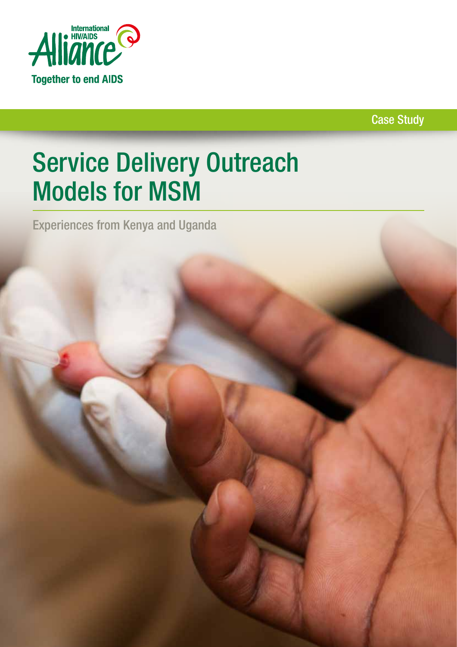

Case Study

# Service Delivery Outreach Models for MSM

Experiences from Kenya and Uganda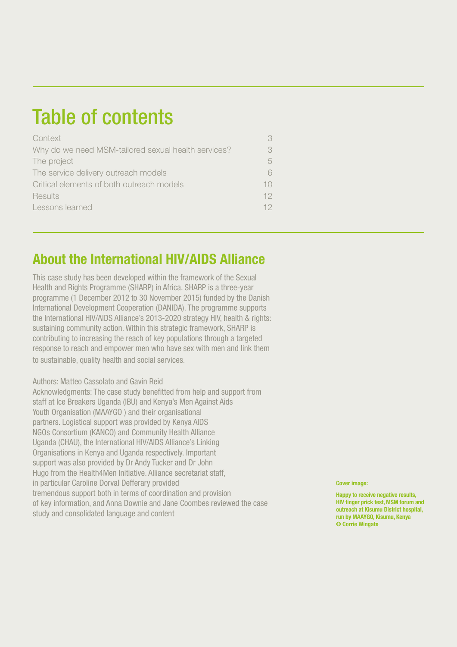## Table of contents

| Context                                             | 3.     |
|-----------------------------------------------------|--------|
| Why do we need MSM-tailored sexual health services? | 3.     |
| The project                                         | 5      |
| The service delivery outreach models                | 6.     |
| Critical elements of both outreach models           | $10^-$ |
| Results                                             | 12     |
| Lessons learned                                     | 12.    |

### About the International HIV/AIDS Alliance

This case study has been developed within the framework of the Sexual Health and Rights Programme (SHARP) in Africa. SHARP is a three-year programme (1 December 2012 to 30 November 2015) funded by the Danish International Development Cooperation (DANIDA). The programme supports the International HIV/AIDS Alliance's 2013-2020 strategy HIV, health & rights: sustaining community action. Within this strategic framework, SHARP is contributing to increasing the reach of key populations through a targeted response to reach and empower men who have sex with men and link them to sustainable, quality health and social services.

#### Authors: Matteo Cassolato and Gavin Reid

Acknowledgments: The case study benefitted from help and support from staff at Ice Breakers Uganda (IBU) and Kenya's Men Against Aids Youth Organisation (MAAYGO ) and their organisational partners. Logistical support was provided by Kenya AIDS NGOs Consortium (KANCO) and Community Health Alliance Uganda (CHAU), the International HIV/AIDS Alliance's Linking Organisations in Kenya and Uganda respectively. Important support was also provided by Dr Andy Tucker and Dr John Hugo from the Health4Men Initiative. Alliance secretariat staff, in particular Caroline Dorval Defferary provided tremendous support both in terms of coordination and provision of key information, and Anna Downie and Jane Coombes reviewed the case study and consolidated language and content

Cover image:

Happy to receive negative results, HIV finger prick test, MSM forum and outreach at Kisumu District hospital, run by MAAYGO, Kisumu, Kenya © Corrie Wingate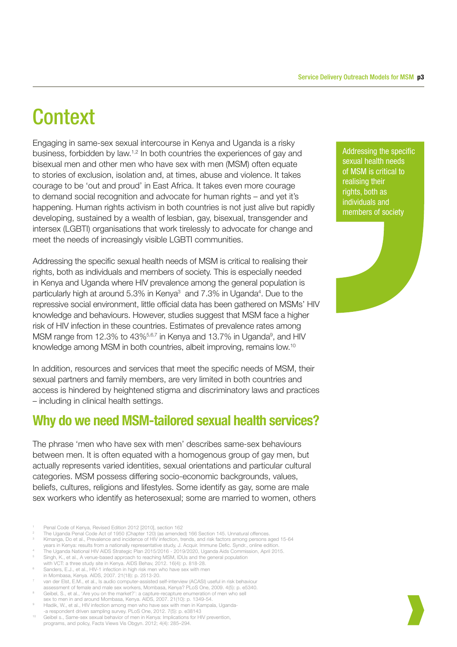## **Context**

Engaging in same-sex sexual intercourse in Kenya and Uganda is a risky business, forbidden by law.1,2 In both countries the experiences of gay and bisexual men and other men who have sex with men (MSM) often equate to stories of exclusion, isolation and, at times, abuse and violence. It takes courage to be 'out and proud' in East Africa. It takes even more courage to demand social recognition and advocate for human rights – and yet it's happening. Human rights activism in both countries is not just alive but rapidly developing, sustained by a wealth of lesbian, gay, bisexual, transgender and intersex (LGBTI) organisations that work tirelessly to advocate for change and meet the needs of increasingly visible LGBTI communities.

Addressing the specific sexual health needs of MSM is critical to realising their rights, both as individuals and members of society. This is especially needed in Kenya and Uganda where HIV prevalence among the general population is particularly high at around 5.3% in Kenya<sup>3</sup> and 7.3% in Uganda<sup>4</sup>. Due to the repressive social environment, little official data has been gathered on MSMs' HIV knowledge and behaviours. However, studies suggest that MSM face a higher risk of HIV infection in these countries. Estimates of prevalence rates among MSM range from 12.3% to 43%<sup>5,6,7</sup> in Kenya and 13.7% in Uganda<sup>9</sup>, and HIV knowledge among MSM in both countries, albeit improving, remains low.10

In addition, resources and services that meet the specific needs of MSM, their sexual partners and family members, are very limited in both countries and access is hindered by heightened stigma and discriminatory laws and practices – including in clinical health settings.

### Why do we need MSM-tailored sexual health services?

The phrase 'men who have sex with men' describes same-sex behaviours between men. It is often equated with a homogenous group of gay men, but actually represents varied identities, sexual orientations and particular cultural categories. MSM possess differing socio-economic backgrounds, values, beliefs, cultures, religions and lifestyles. Some identify as gay, some are male sex workers who identify as heterosexual; some are married to women, others

- <sup>1</sup> Penal Code of Kenya, Revised Edition 2012 [2010], section 162 2 The Uganda Penal Code Act of 1950 (Chapter 120) (as amended) 166 Section 145. Unnatural offences.
- 
- Kimanga, Do et al., Prevalence and incidence of HIV infection, trends, and risk factors among persons aged 15-64<br>years in Kenya: results from a nationally representative study, J. Acquir. Immune Defic. Syndr., online editi
- The Uganda National HIV AIDS Strategic Plan 2015/2016 2019/2020, Uganda Aids Commission, April 2015.
- <sup>5</sup> Singh, K., et al., A venue-based approach to reaching MSM, IDUs and the general population
- with VCT: a three study site in Kenya. AIDS Behav, 2012. 16(4): p. 818-28. Sanders, E.J., et al., HIV-1 infection in high risk men who have sex with men
- in Mombasa, Kenya. AIDS, 2007. 21(18): p. 2513-20.
- <sup>7</sup> van der Elst, E.M., et al., Is audio computer-assisted self-interview (ACASI) useful in risk behaviour
- assessment of female and male sex workers, Mombasa, Kenya? PLoS One, 2009. 4(5): p. e5340. <sup>8</sup> Geibel, S., et al., 'Are you on the market?': a capture-recapture enumeration of men who sell
- sex to men in and around Mombasa, Kenya. AIDS, 2007. 21(10): p. 1349-54. Hladik, W., et al., HIV infection among men who have sex with men in Kampala, Uganda--a respondent driven sampling survey. PLoS One, 2012. 7(5): p. e38143
- <sup>10</sup> Geibel s., Same-sex sexual behavior of men in Kenya: Implications for HIV prevention, programs, and policy, Facts Views Vis Obgyn. 2012; 4(4): 285–294.

Addressing the specific sexual health needs of MSM is critical to realising their rights, both as individuals and members of society

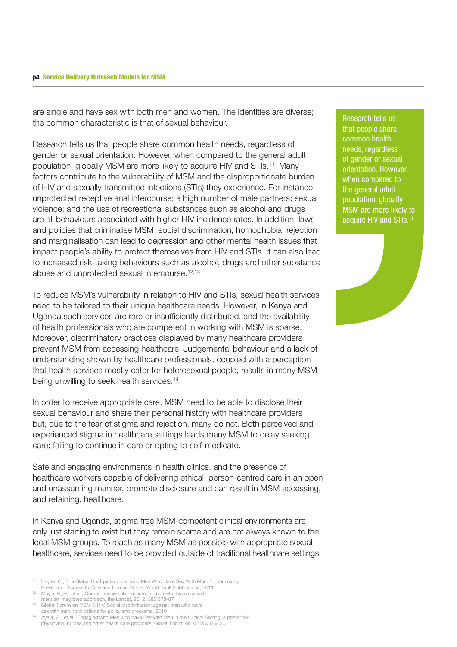#### p4 Service Delivery Outreach Models for MSM

are single and have sex with both men and women. The identities are diverse; the common characteristic is that of sexual behaviour.

Research tells us that people share common health needs, regardless of gender or sexual orientation. However, when compared to the general adult population, globally MSM are more likely to acquire HIV and STIs.11 Many factors contribute to the vulnerability of MSM and the disproportionate burden of HIV and sexually transmitted infections (STIs) they experience. For instance, unprotected receptive anal intercourse; a high number of male partners; sexual violence; and the use of recreational substances such as alcohol and drugs are all behaviours associated with higher HIV incidence rates. In addition, laws and policies that criminalise MSM, social discrimination, homophobia, rejection and marginalisation can lead to depression and other mental health issues that impact people's ability to protect themselves from HIV and STIs. It can also lead to increased risk-taking behaviours such as alcohol, drugs and other substance abuse and unprotected sexual intercourse.<sup>12,13</sup>

To reduce MSM's vulnerability in relation to HIV and STIs, sexual health services need to be tailored to their unique healthcare needs. However, in Kenya and Uganda such services are rare or insufficiently distributed, and the availability of health professionals who are competent in working with MSM is sparse. Moreover, discriminatory practices displayed by many healthcare providers prevent MSM from accessing healthcare. Judgemental behaviour and a lack of understanding shown by healthcare professionals, coupled with a perception that health services mostly cater for heterosexual people, results in many MSM being unwilling to seek health services.<sup>14</sup>

In order to receive appropriate care, MSM need to be able to disclose their sexual behaviour and share their personal history with healthcare providers but, due to the fear of stigma and rejection, many do not. Both perceived and experienced stigma in healthcare settings leads many MSM to delay seeking care; failing to continue in care or opting to self-medicate.

Safe and engaging environments in health clinics, and the presence of healthcare workers capable of delivering ethical, person-centred care in an open and unassuming manner, promote disclosure and can result in MSM accessing, and retaining, healthcare.

In Kenya and Uganda, stigma-free MSM-competent clinical environments are only just starting to exist but they remain scarce and are not always known to the local MSM groups. To reach as many MSM as possible with appropriate sexual healthcare, services need to be provided outside of traditional healthcare settings,

- Beyrer, C., The Global HIV Epidemics among Men Who Have Sex With Men: Epidemiology,
- Prevention, Access to Care and Human Rights, World Bank Publications, 2011 <sup>12</sup> Mayer, K.,H., et al., Comprehensive clinical care for men who have sex with
- men: an integrated approach, the Lancet, 2012, 380:378-87 <sup>13</sup> Global Forum on MSM & HIV, Social discrimination against men who have
- sex with men: Implications for policy and programs. 2010 <sup>14</sup> Ayala, G., et al., Engaging with Men who have Sex with Men in the Clinical Setting: a primer for

physicians, nurses and other health care providers, Global Forum on MSM & HIV, 2011.

Research tells us that people share common health needs, regardless of gender or sexual orientation. However, when compared to the general adult population, globally MSM are more likely to acquire HIV and STIs.11

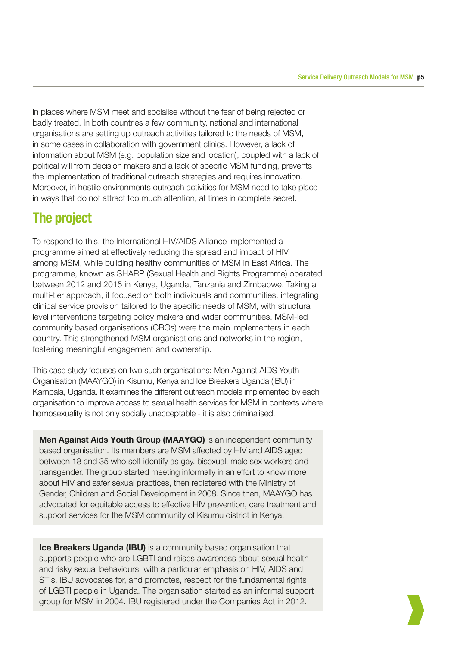in places where MSM meet and socialise without the fear of being rejected or badly treated. In both countries a few community, national and international organisations are setting up outreach activities tailored to the needs of MSM, in some cases in collaboration with government clinics. However, a lack of information about MSM (e.g. population size and location), coupled with a lack of political will from decision makers and a lack of specific MSM funding, prevents the implementation of traditional outreach strategies and requires innovation. Moreover, in hostile environments outreach activities for MSM need to take place in ways that do not attract too much attention, at times in complete secret.

### The project

To respond to this, the International HIV/AIDS Alliance implemented a programme aimed at effectively reducing the spread and impact of HIV among MSM, while building healthy communities of MSM in East Africa. The programme, known as SHARP (Sexual Health and Rights Programme) operated between 2012 and 2015 in Kenya, Uganda, Tanzania and Zimbabwe. Taking a multi-tier approach, it focused on both individuals and communities, integrating clinical service provision tailored to the specific needs of MSM, with structural level interventions targeting policy makers and wider communities. MSM-led community based organisations (CBOs) were the main implementers in each country. This strengthened MSM organisations and networks in the region, fostering meaningful engagement and ownership.

This case study focuses on two such organisations: Men Against AIDS Youth Organisation (MAAYGO) in Kisumu, Kenya and Ice Breakers Uganda (IBU) in Kampala, Uganda. It examines the different outreach models implemented by each organisation to improve access to sexual health services for MSM in contexts where homosexuality is not only socially unacceptable - it is also criminalised.

Men Against Aids Youth Group (MAAYGO) is an independent community based organisation. Its members are MSM affected by HIV and AIDS aged between 18 and 35 who self-identify as gay, bisexual, male sex workers and transgender. The group started meeting informally in an effort to know more about HIV and safer sexual practices, then registered with the Ministry of Gender, Children and Social Development in 2008. Since then, MAAYGO has advocated for equitable access to effective HIV prevention, care treatment and support services for the MSM community of Kisumu district in Kenya.

**Ice Breakers Uganda (IBU)** is a community based organisation that supports people who are LGBTI and raises awareness about sexual health and risky sexual behaviours, with a particular emphasis on HIV, AIDS and STIs. IBU advocates for, and promotes, respect for the fundamental rights of LGBTI people in Uganda. The organisation started as an informal support group for MSM in 2004. IBU registered under the Companies Act in 2012.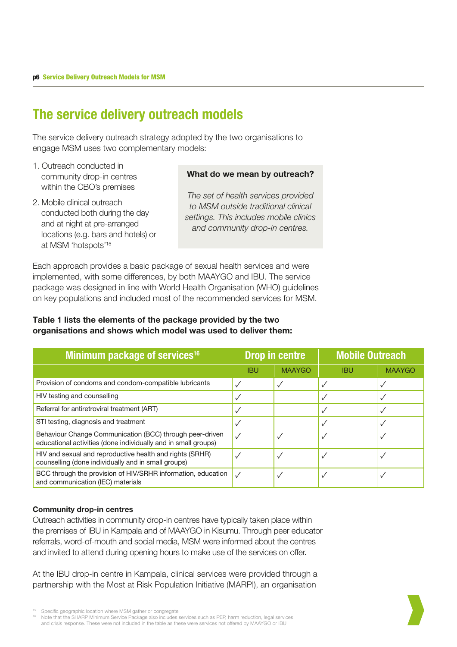### The service delivery outreach models

The service delivery outreach strategy adopted by the two organisations to engage MSM uses two complementary models:

- 1. Outreach conducted in community drop-in centres within the CBO's premises
- 2. Mobile clinical outreach conducted both during the day and at night at pre-arranged locations (e.g. bars and hotels) or at MSM 'hotspots'15

#### What do we mean by outreach?

*The set of health services provided to MSM outside traditional clinical settings. This includes mobile clinics and community drop-in centres.*

Each approach provides a basic package of sexual health services and were implemented, with some differences, by both MAAYGO and IBU. The service package was designed in line with World Health Organisation (WHO) guidelines on key populations and included most of the recommended services for MSM.

### Table 1 lists the elements of the package provided by the two organisations and shows which model was used to deliver them:

| Minimum package of services <sup>16</sup>                                                                                  | <b>Drop in centre</b> |               | <b>Mobile Outreach</b> |               |
|----------------------------------------------------------------------------------------------------------------------------|-----------------------|---------------|------------------------|---------------|
|                                                                                                                            | <b>IBU</b>            | <b>MAAYGO</b> | <b>IBU</b>             | <b>MAAYGO</b> |
| Provision of condoms and condom-compatible lubricants                                                                      |                       |               |                        |               |
| HIV testing and counselling                                                                                                |                       |               |                        |               |
| Referral for antiretroviral treatment (ART)                                                                                |                       |               |                        |               |
| STI testing, diagnosis and treatment                                                                                       |                       |               |                        |               |
| Behaviour Change Communication (BCC) through peer-driven<br>educational activities (done individually and in small groups) |                       |               |                        |               |
| HIV and sexual and reproductive health and rights (SRHR)<br>counselling (done individually and in small groups)            |                       |               |                        |               |
| BCC through the provision of HIV/SRHR information, education<br>and communication (IEC) materials                          |                       |               |                        |               |

#### Community drop-in centres

Outreach activities in community drop-in centres have typically taken place within the premises of IBU in Kampala and of MAAYGO in Kisumu. Through peer educator referrals, word-of-mouth and social media, MSM were informed about the centres and invited to attend during opening hours to make use of the services on offer.

At the IBU drop-in centre in Kampala, clinical services were provided through a partnership with the Most at Risk Population Initiative (MARPI), an organisation



<sup>15</sup> Specific geographic location where MSM gather or congregate<br>16 Note that the SHARP Minimum Service Package also includes services such as PEP, harm reduction, legal services and crisis response. These were not included in the table as these were services not offered by MAAYGO or IBU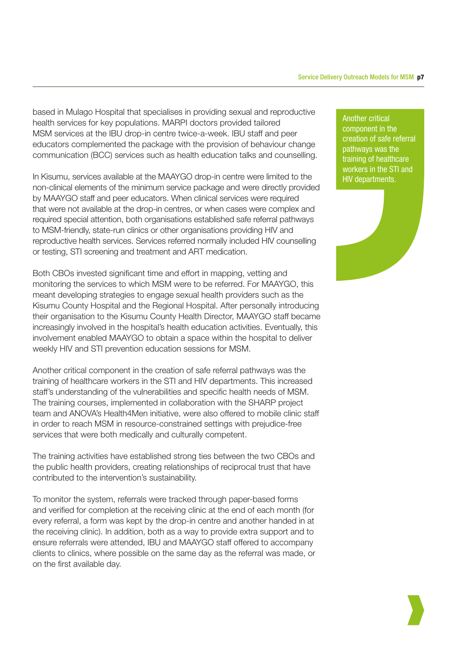based in Mulago Hospital that specialises in providing sexual and reproductive health services for key populations. MARPI doctors provided tailored MSM services at the IBU drop-in centre twice-a-week. IBU staff and peer educators complemented the package with the provision of behaviour change communication (BCC) services such as health education talks and counselling.

In Kisumu, services available at the MAAYGO drop-in centre were limited to the non-clinical elements of the minimum service package and were directly provided by MAAYGO staff and peer educators. When clinical services were required that were not available at the drop-in centres, or when cases were complex and required special attention, both organisations established safe referral pathways to MSM-friendly, state-run clinics or other organisations providing HIV and reproductive health services. Services referred normally included HIV counselling or testing, STI screening and treatment and ART medication.

Both CBOs invested significant time and effort in mapping, vetting and monitoring the services to which MSM were to be referred. For MAAYGO, this meant developing strategies to engage sexual health providers such as the Kisumu County Hospital and the Regional Hospital. After personally introducing their organisation to the Kisumu County Health Director, MAAYGO staff became increasingly involved in the hospital's health education activities. Eventually, this involvement enabled MAAYGO to obtain a space within the hospital to deliver weekly HIV and STI prevention education sessions for MSM.

Another critical component in the creation of safe referral pathways was the training of healthcare workers in the STI and HIV departments. This increased staff's understanding of the vulnerabilities and specific health needs of MSM. The training courses, implemented in collaboration with the SHARP project team and ANOVA's Health4Men initiative, were also offered to mobile clinic staff in order to reach MSM in resource-constrained settings with prejudice-free services that were both medically and culturally competent.

The training activities have established strong ties between the two CBOs and the public health providers, creating relationships of reciprocal trust that have contributed to the intervention's sustainability.

To monitor the system, referrals were tracked through paper-based forms and verified for completion at the receiving clinic at the end of each month (for every referral, a form was kept by the drop-in centre and another handed in at the receiving clinic). In addition, both as a way to provide extra support and to ensure referrals were attended, IBU and MAAYGO staff offered to accompany clients to clinics, where possible on the same day as the referral was made, or on the first available day.

Another critical component in the creation of safe referral pathways was the training of healthcare workers in the STI and HIV departments.

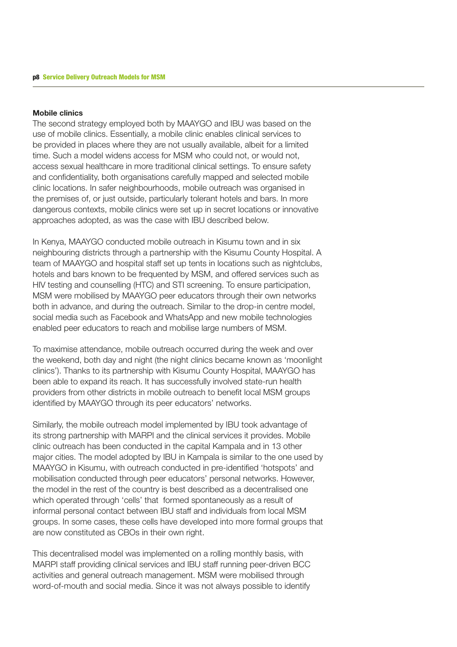#### Mobile clinics

The second strategy employed both by MAAYGO and IBU was based on the use of mobile clinics. Essentially, a mobile clinic enables clinical services to be provided in places where they are not usually available, albeit for a limited time. Such a model widens access for MSM who could not, or would not, access sexual healthcare in more traditional clinical settings. To ensure safety and confidentiality, both organisations carefully mapped and selected mobile clinic locations. In safer neighbourhoods, mobile outreach was organised in the premises of, or just outside, particularly tolerant hotels and bars. In more dangerous contexts, mobile clinics were set up in secret locations or innovative approaches adopted, as was the case with IBU described below.

In Kenya, MAAYGO conducted mobile outreach in Kisumu town and in six neighbouring districts through a partnership with the Kisumu County Hospital. A team of MAAYGO and hospital staff set up tents in locations such as nightclubs, hotels and bars known to be frequented by MSM, and offered services such as HIV testing and counselling (HTC) and STI screening. To ensure participation, MSM were mobilised by MAAYGO peer educators through their own networks both in advance, and during the outreach. Similar to the drop-in centre model, social media such as Facebook and WhatsApp and new mobile technologies enabled peer educators to reach and mobilise large numbers of MSM.

To maximise attendance, mobile outreach occurred during the week and over the weekend, both day and night (the night clinics became known as 'moonlight clinics'). Thanks to its partnership with Kisumu County Hospital, MAAYGO has been able to expand its reach. It has successfully involved state-run health providers from other districts in mobile outreach to benefit local MSM groups identified by MAAYGO through its peer educators' networks.

Similarly, the mobile outreach model implemented by IBU took advantage of its strong partnership with MARPI and the clinical services it provides. Mobile clinic outreach has been conducted in the capital Kampala and in 13 other major cities. The model adopted by IBU in Kampala is similar to the one used by MAAYGO in Kisumu, with outreach conducted in pre-identified 'hotspots' and mobilisation conducted through peer educators' personal networks. However, the model in the rest of the country is best described as a decentralised one which operated through 'cells' that formed spontaneously as a result of informal personal contact between IBU staff and individuals from local MSM groups. In some cases, these cells have developed into more formal groups that are now constituted as CBOs in their own right.

This decentralised model was implemented on a rolling monthly basis, with MARPI staff providing clinical services and IBU staff running peer-driven BCC activities and general outreach management. MSM were mobilised through word-of-mouth and social media. Since it was not always possible to identify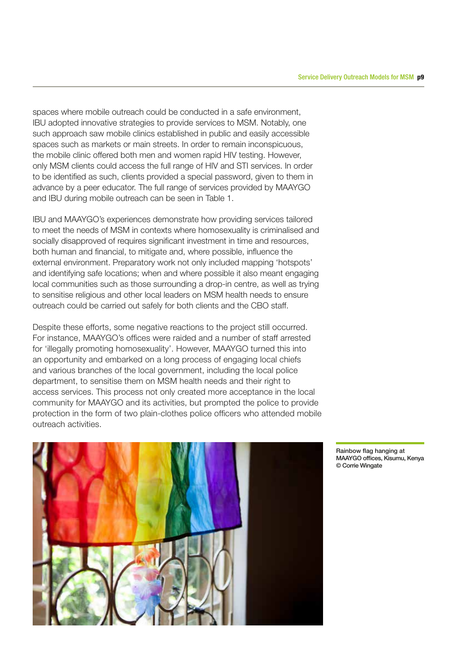spaces where mobile outreach could be conducted in a safe environment, IBU adopted innovative strategies to provide services to MSM. Notably, one such approach saw mobile clinics established in public and easily accessible spaces such as markets or main streets. In order to remain inconspicuous, the mobile clinic offered both men and women rapid HIV testing. However, only MSM clients could access the full range of HIV and STI services. In order to be identified as such, clients provided a special password, given to them in advance by a peer educator. The full range of services provided by MAAYGO and IBU during mobile outreach can be seen in Table 1.

IBU and MAAYGO's experiences demonstrate how providing services tailored to meet the needs of MSM in contexts where homosexuality is criminalised and socially disapproved of requires significant investment in time and resources, both human and financial, to mitigate and, where possible, influence the external environment. Preparatory work not only included mapping 'hotspots' and identifying safe locations; when and where possible it also meant engaging local communities such as those surrounding a drop-in centre, as well as trying to sensitise religious and other local leaders on MSM health needs to ensure outreach could be carried out safely for both clients and the CBO staff.

Despite these efforts, some negative reactions to the project still occurred. For instance, MAAYGO's offices were raided and a number of staff arrested for 'illegally promoting homosexuality'. However, MAAYGO turned this into an opportunity and embarked on a long process of engaging local chiefs and various branches of the local government, including the local police department, to sensitise them on MSM health needs and their right to access services. This process not only created more acceptance in the local community for MAAYGO and its activities, but prompted the police to provide protection in the form of two plain-clothes police officers who attended mobile outreach activities.



Rainbow flag hanging at MAAYGO offices, Kisumu, Kenya © Corrie Wingate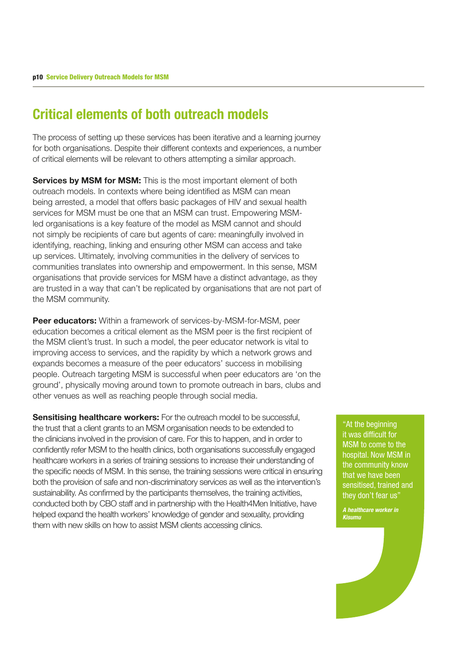### Critical elements of both outreach models

The process of setting up these services has been iterative and a learning journey for both organisations. Despite their different contexts and experiences, a number of critical elements will be relevant to others attempting a similar approach.

Services by MSM for MSM: This is the most important element of both outreach models. In contexts where being identified as MSM can mean being arrested, a model that offers basic packages of HIV and sexual health services for MSM must be one that an MSM can trust. Empowering MSMled organisations is a key feature of the model as MSM cannot and should not simply be recipients of care but agents of care: meaningfully involved in identifying, reaching, linking and ensuring other MSM can access and take up services. Ultimately, involving communities in the delivery of services to communities translates into ownership and empowerment. In this sense, MSM organisations that provide services for MSM have a distinct advantage, as they are trusted in a way that can't be replicated by organisations that are not part of the MSM community.

**Peer educators:** Within a framework of services-by-MSM-for-MSM, peer education becomes a critical element as the MSM peer is the first recipient of the MSM client's trust. In such a model, the peer educator network is vital to improving access to services, and the rapidity by which a network grows and expands becomes a measure of the peer educators' success in mobilising people. Outreach targeting MSM is successful when peer educators are 'on the ground', physically moving around town to promote outreach in bars, clubs and other venues as well as reaching people through social media.

Sensitising healthcare workers: For the outreach model to be successful, the trust that a client grants to an MSM organisation needs to be extended to the clinicians involved in the provision of care. For this to happen, and in order to confidently refer MSM to the health clinics, both organisations successfully engaged healthcare workers in a series of training sessions to increase their understanding of the specific needs of MSM. In this sense, the training sessions were critical in ensuring both the provision of safe and non-discriminatory services as well as the intervention's sustainability. As confirmed by the participants themselves, the training activities, conducted both by CBO staff and in partnership with the Health4Men Initiative, have helped expand the health workers' knowledge of gender and sexuality, providing them with new skills on how to assist MSM clients accessing clinics.

"At the beginning it was difficult for MSM to come to the hospital. Now MSM in the community know that we have been sensitised, trained and they don't fear us"

*A healthcare worker in Kisumu*

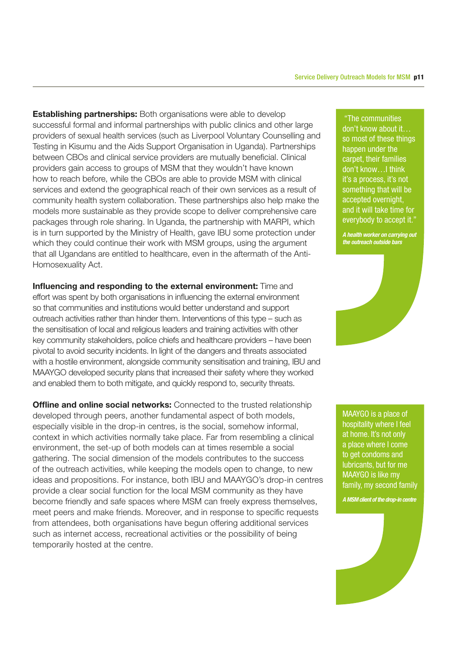**Establishing partnerships:** Both organisations were able to develop successful formal and informal partnerships with public clinics and other large providers of sexual health services (such as Liverpool Voluntary Counselling and Testing in Kisumu and the Aids Support Organisation in Uganda). Partnerships between CBOs and clinical service providers are mutually beneficial. Clinical providers gain access to groups of MSM that they wouldn't have known how to reach before, while the CBOs are able to provide MSM with clinical services and extend the geographical reach of their own services as a result of community health system collaboration. These partnerships also help make the models more sustainable as they provide scope to deliver comprehensive care packages through role sharing. In Uganda, the partnership with MARPI, which is in turn supported by the Ministry of Health, gave IBU some protection under which they could continue their work with MSM groups, using the argument that all Ugandans are entitled to healthcare, even in the aftermath of the Anti-Homosexuality Act.

Influencing and responding to the external environment: Time and effort was spent by both organisations in influencing the external environment so that communities and institutions would better understand and support outreach activities rather than hinder them. Interventions of this type – such as the sensitisation of local and religious leaders and training activities with other key community stakeholders, police chiefs and healthcare providers – have been pivotal to avoid security incidents. In light of the dangers and threats associated with a hostile environment, alongside community sensitisation and training, IBU and MAAYGO developed security plans that increased their safety where they worked and enabled them to both mitigate, and quickly respond to, security threats.

**Offline and online social networks:** Connected to the trusted relationship developed through peers, another fundamental aspect of both models, especially visible in the drop-in centres, is the social, somehow informal, context in which activities normally take place. Far from resembling a clinical environment, the set-up of both models can at times resemble a social gathering. The social dimension of the models contributes to the success of the outreach activities, while keeping the models open to change, to new ideas and propositions. For instance, both IBU and MAAYGO's drop-in centres provide a clear social function for the local MSM community as they have become friendly and safe spaces where MSM can freely express themselves, meet peers and make friends. Moreover, and in response to specific requests from attendees, both organisations have begun offering additional services such as internet access, recreational activities or the possibility of being temporarily hosted at the centre.

 "The communities don't know about it… so most of these things happen under the carpet, their families don't know…I think it's a process, it's not something that will be accepted overnight, and it will take time for everybody to accept it."

*A health worker on carrying out the outreach outside bars* 



MAAYGO is a place of hospitality where I feel at home. It's not only a place where I come to get condoms and lubricants, but for me MAAYGO is like my family, my second family

#### *A MSM client of the drop-in centre*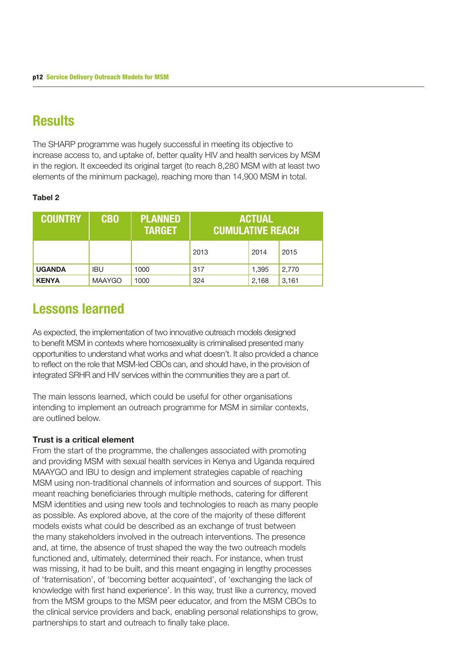### **Results**

The SHARP programme was hugely successful in meeting its objective to increase access to, and uptake of, better quality HIV and health services by MSM in the region. It exceeded its original target (to reach 8,280 MSM with at least two elements of the minimum package), reaching more than 14,900 MSM in total.

### Tabel 2

| <b>COUNTRY</b> | <b>CBO</b>    | <b>PLANNED</b><br><b>TARGET</b> | <b>ACTUAL</b><br><b>CUMULATIVE REACH</b> |       |       |
|----------------|---------------|---------------------------------|------------------------------------------|-------|-------|
|                |               |                                 | 2013                                     | 2014  | 2015  |
| <b>UGANDA</b>  | <b>IBU</b>    | 1000                            | 317                                      | 1.395 | 2.770 |
| <b>KENYA</b>   | <b>MAAYGO</b> | 1000                            | 324                                      | 2,168 | 3,161 |

### Lessons learned

As expected, the implementation of two innovative outreach models designed to benefit MSM in contexts where homosexuality is criminalised presented many opportunities to understand what works and what doesn't. It also provided a chance to reflect on the role that MSM-led CBOs can, and should have, in the provision of integrated SRHR and HIV services within the communities they are a part of.

The main lessons learned, which could be useful for other organisations intending to implement an outreach programme for MSM in similar contexts, are outlined below.

### Trust is a critical element

From the start of the programme, the challenges associated with promoting and providing MSM with sexual health services in Kenya and Uganda required MAAYGO and IBU to design and implement strategies capable of reaching MSM using non-traditional channels of information and sources of support. This meant reaching beneficiaries through multiple methods, catering for different MSM identities and using new tools and technologies to reach as many people as possible. As explored above, at the core of the majority of these different models exists what could be described as an exchange of trust between the many stakeholders involved in the outreach interventions. The presence and, at time, the absence of trust shaped the way the two outreach models functioned and, ultimately, determined their reach. For instance, when trust was missing, it had to be built, and this meant engaging in lengthy processes of 'fraternisation', of 'becoming better acquainted', of 'exchanging the lack of knowledge with first hand experience'. In this way, trust like a currency, moved from the MSM groups to the MSM peer educator, and from the MSM CBOs to the clinical service providers and back, enabling personal relationships to grow, partnerships to start and outreach to finally take place.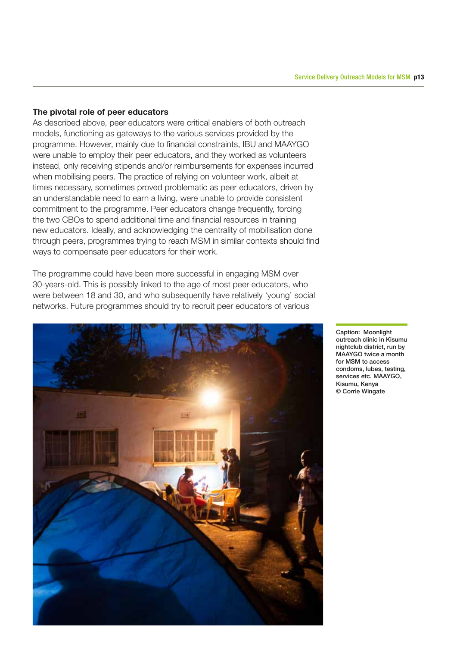#### The pivotal role of peer educators

As described above, peer educators were critical enablers of both outreach models, functioning as gateways to the various services provided by the programme. However, mainly due to financial constraints, IBU and MAAYGO were unable to employ their peer educators, and they worked as volunteers instead, only receiving stipends and/or reimbursements for expenses incurred when mobilising peers. The practice of relying on volunteer work, albeit at times necessary, sometimes proved problematic as peer educators, driven by an understandable need to earn a living, were unable to provide consistent commitment to the programme. Peer educators change frequently, forcing the two CBOs to spend additional time and financial resources in training new educators. Ideally, and acknowledging the centrality of mobilisation done through peers, programmes trying to reach MSM in similar contexts should find ways to compensate peer educators for their work.

The programme could have been more successful in engaging MSM over 30-years-old. This is possibly linked to the age of most peer educators, who were between 18 and 30, and who subsequently have relatively 'young' social networks. Future programmes should try to recruit peer educators of various



Caption: Moonlight outreach clinic in Kisumu nightclub district, run by MAAYGO twice a month for MSM to access condoms, lubes, testing, services etc. MAAYGO, Kisumu, Kenya © Corrie Wingate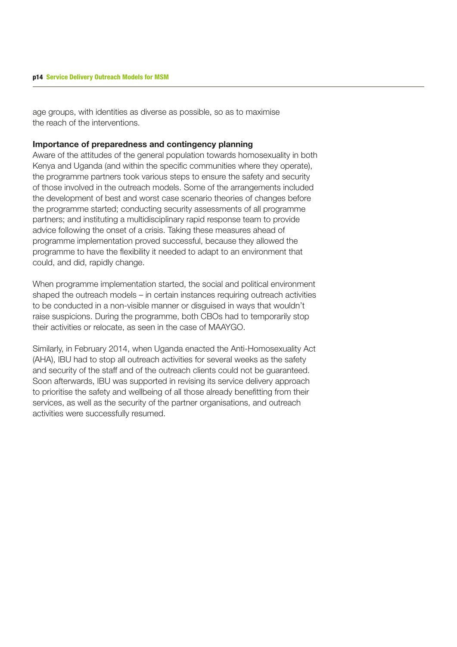age groups, with identities as diverse as possible, so as to maximise the reach of the interventions.

#### Importance of preparedness and contingency planning

Aware of the attitudes of the general population towards homosexuality in both Kenya and Uganda (and within the specific communities where they operate), the programme partners took various steps to ensure the safety and security of those involved in the outreach models. Some of the arrangements included the development of best and worst case scenario theories of changes before the programme started; conducting security assessments of all programme partners; and instituting a multidisciplinary rapid response team to provide advice following the onset of a crisis. Taking these measures ahead of programme implementation proved successful, because they allowed the programme to have the flexibility it needed to adapt to an environment that could, and did, rapidly change.

When programme implementation started, the social and political environment shaped the outreach models – in certain instances requiring outreach activities to be conducted in a non-visible manner or disguised in ways that wouldn't raise suspicions. During the programme, both CBOs had to temporarily stop their activities or relocate, as seen in the case of MAAYGO.

Similarly, in February 2014, when Uganda enacted the Anti-Homosexuality Act (AHA), IBU had to stop all outreach activities for several weeks as the safety and security of the staff and of the outreach clients could not be guaranteed. Soon afterwards, IBU was supported in revising its service delivery approach to prioritise the safety and wellbeing of all those already benefitting from their services, as well as the security of the partner organisations, and outreach activities were successfully resumed.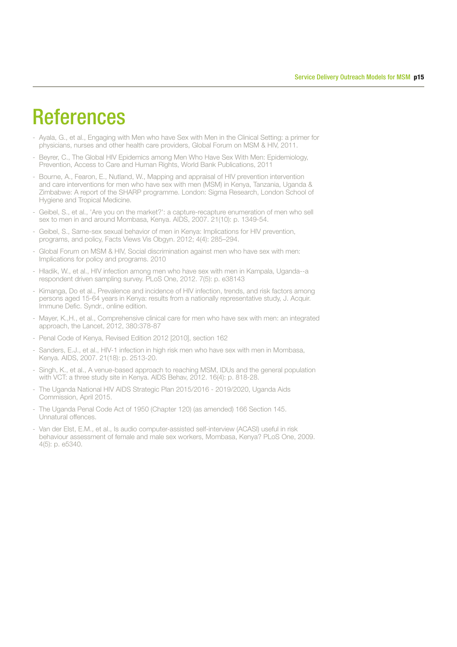## **References**

- Ayala, G., et al., Engaging with Men who have Sex with Men in the Clinical Setting: a primer for physicians, nurses and other health care providers, Global Forum on MSM & HIV, 2011.
- Beyrer, C., The Global HIV Epidemics among Men Who Have Sex With Men: Epidemiology, Prevention, Access to Care and Human Rights, World Bank Publications, 2011
- Bourne, A., Fearon, E., Nutland, W., Mapping and appraisal of HIV prevention intervention and care interventions for men who have sex with men (MSM) in Kenya, Tanzania, Uganda & Zimbabwe: A report of the SHARP programme. London: Sigma Research, London School of Hygiene and Tropical Medicine.
- Geibel, S., et al., 'Are you on the market?': a capture-recapture enumeration of men who sell sex to men in and around Mombasa, Kenya. AIDS, 2007. 21(10): p. 1349-54.
- Geibel, S., Same-sex sexual behavior of men in Kenya: Implications for HIV prevention, programs, and policy, Facts Views Vis Obgyn. 2012; 4(4): 285–294.
- Global Forum on MSM & HIV, Social discrimination against men who have sex with men: Implications for policy and programs. 2010
- Hladik, W., et al., HIV infection among men who have sex with men in Kampala, Uganda--a respondent driven sampling survey. PLoS One, 2012. 7(5): p. e38143
- Kimanga, Do et al., Prevalence and incidence of HIV infection, trends, and risk factors among persons aged 15-64 years in Kenya: results from a nationally representative study, J. Acquir. Immune Defic. Syndr., online edition.
- Mayer, K.,H., et al., Comprehensive clinical care for men who have sex with men: an integrated approach, the Lancet, 2012, 380:378-87
- Penal Code of Kenya, Revised Edition 2012 [2010], section 162
- Sanders, E.J., et al., HIV-1 infection in high risk men who have sex with men in Mombasa, Kenya. AIDS, 2007. 21(18): p. 2513-20.
- Singh, K., et al., A venue-based approach to reaching MSM, IDUs and the general population with VCT: a three study site in Kenya. AIDS Behav, 2012. 16(4): p. 818-28.
- The Uganda National HIV AIDS Strategic Plan 2015/2016 2019/2020, Uganda Aids Commission, April 2015.
- The Uganda Penal Code Act of 1950 (Chapter 120) (as amended) 166 Section 145. Unnatural offences.
- Van der Elst, E.M., et al., Is audio computer-assisted self-interview (ACASI) useful in risk behaviour assessment of female and male sex workers, Mombasa, Kenya? PLoS One, 2009. 4(5): p. e5340.